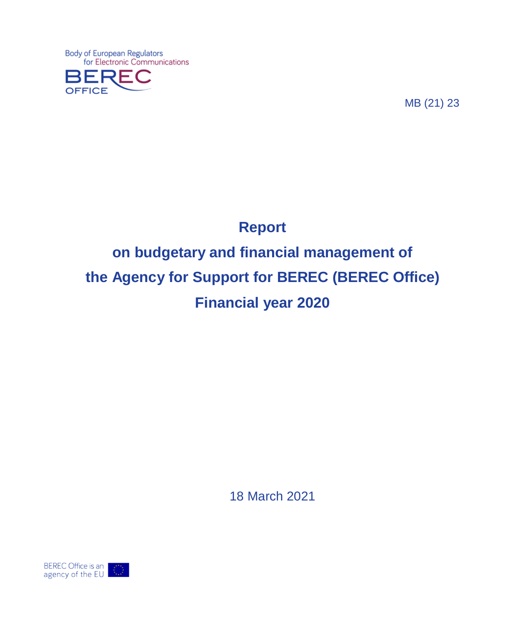Body of European Regulators<br>for Electronic Communications OFFICE

MB (21) 23

# **Report on budgetary and financial management of the Agency for Support for BEREC (BEREC Office) Financial year 2020**

18 March 2021

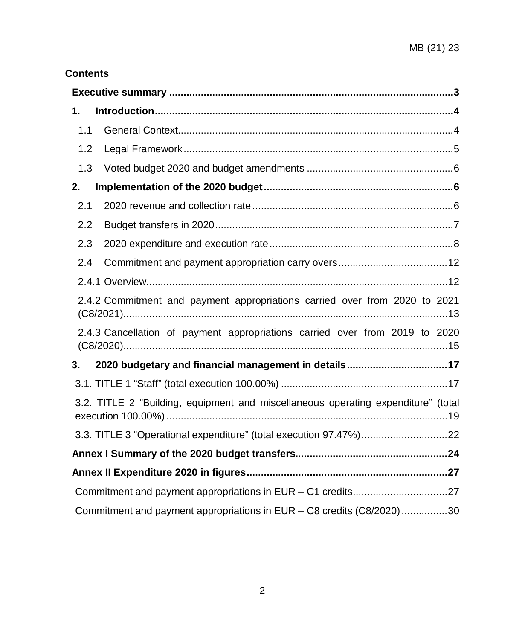# **Contents**

| 1.  |                                                                                   |
|-----|-----------------------------------------------------------------------------------|
| 1.1 |                                                                                   |
| 1.2 |                                                                                   |
| 1.3 |                                                                                   |
| 2.  |                                                                                   |
| 2.1 |                                                                                   |
| 2.2 |                                                                                   |
| 2.3 |                                                                                   |
| 2.4 |                                                                                   |
|     |                                                                                   |
|     | 2.4.2 Commitment and payment appropriations carried over from 2020 to 2021        |
|     | 2.4.3 Cancellation of payment appropriations carried over from 2019 to 2020       |
| 3.  | 2020 budgetary and financial management in details17                              |
|     |                                                                                   |
|     | 3.2. TITLE 2 "Building, equipment and miscellaneous operating expenditure" (total |
|     |                                                                                   |
|     |                                                                                   |
|     |                                                                                   |
|     | Commitment and payment appropriations in EUR - C1 credits27                       |
|     | Commitment and payment appropriations in EUR - C8 credits (C8/2020)30             |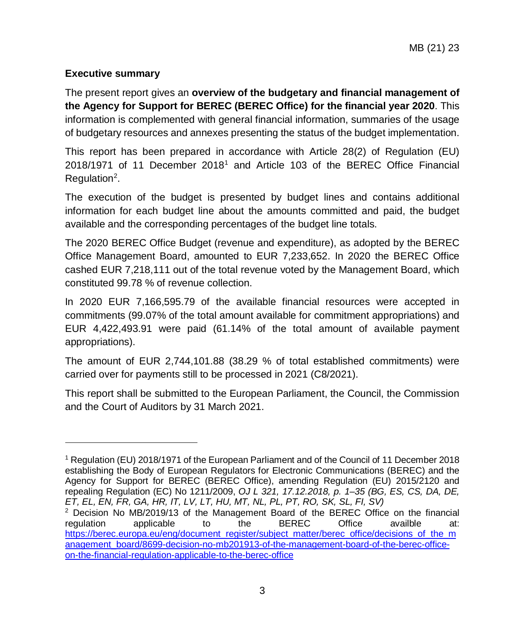#### <span id="page-2-0"></span>**Executive summary**

 $\overline{a}$ 

The present report gives an **overview of the budgetary and financial management of the Agency for Support for BEREC (BEREC Office) for the financial year 2020**. This information is complemented with general financial information, summaries of the usage of budgetary resources and annexes presenting the status of the budget implementation.

This report has been prepared in accordance with Article 28(2) of Regulation (EU) 2018/1971 of 11 December 2018[1](#page-2-1) and Article 103 of the BEREC Office Financial Regulation<sup>[2](#page-2-2)</sup>.

The execution of the budget is presented by budget lines and contains additional information for each budget line about the amounts committed and paid, the budget available and the corresponding percentages of the budget line totals.

The 2020 BEREC Office Budget (revenue and expenditure), as adopted by the BEREC Office Management Board, amounted to EUR 7,233,652. In 2020 the BEREC Office cashed EUR 7,218,111 out of the total revenue voted by the Management Board, which constituted 99.78 % of revenue collection.

In 2020 EUR 7,166,595.79 of the available financial resources were accepted in commitments (99.07% of the total amount available for commitment appropriations) and EUR 4,422,493.91 were paid (61.14% of the total amount of available payment appropriations).

The amount of EUR 2,744,101.88 (38.29 % of total established commitments) were carried over for payments still to be processed in 2021 (C8/2021).

This report shall be submitted to the European Parliament, the Council, the Commission and the Court of Auditors by 31 March 2021.

<span id="page-2-1"></span><sup>1</sup> Regulation (EU) 2018/1971 of the European Parliament and of the Council of 11 December 2018 establishing the Body of European Regulators for Electronic Communications (BEREC) and the Agency for Support for BEREC (BEREC Office), amending Regulation (EU) 2015/2120 and repealing Regulation (EC) No 1211/2009, *OJ L 321, 17.12.2018, p. 1–35 (BG, ES, CS, DA, DE, ET, EL, EN, FR, GA, HR, IT, LV, LT, HU, MT, NL, PL, PT, RO, SK, SL, FI, SV)*  $2$  Decision No MB/2019/13 of the Management Board of the BEREC Office on the financial

<span id="page-2-2"></span>regulation applicable to the BEREC Office availble at: [https://berec.europa.eu/eng/document\\_register/subject\\_matter/berec\\_office/decisions\\_of\\_the\\_m](https://berec.europa.eu/eng/document_register/subject_matter/berec_office/decisions_of_the_management_board/8699-decision-no-mb201913-of-the-management-board-of-the-berec-office-on-the-financial-regulation-applicable-to-the-berec-office) [anagement\\_board/8699-decision-no-mb201913-of-the-management-board-of-the-berec-office](https://berec.europa.eu/eng/document_register/subject_matter/berec_office/decisions_of_the_management_board/8699-decision-no-mb201913-of-the-management-board-of-the-berec-office-on-the-financial-regulation-applicable-to-the-berec-office)[on-the-financial-regulation-applicable-to-the-berec-office](https://berec.europa.eu/eng/document_register/subject_matter/berec_office/decisions_of_the_management_board/8699-decision-no-mb201913-of-the-management-board-of-the-berec-office-on-the-financial-regulation-applicable-to-the-berec-office)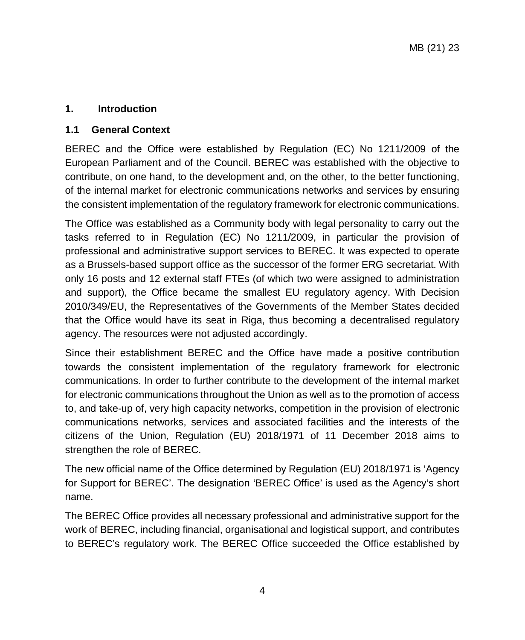#### <span id="page-3-0"></span>**1. Introduction**

#### <span id="page-3-1"></span>**1.1 General Context**

BEREC and the Office were established by Regulation (EC) No 1211/2009 of the European Parliament and of the Council. BEREC was established with the objective to contribute, on one hand, to the development and, on the other, to the better functioning, of the internal market for electronic communications networks and services by ensuring the consistent implementation of the regulatory framework for electronic communications.

The Office was established as a Community body with legal personality to carry out the tasks referred to in Regulation (EC) No 1211/2009, in particular the provision of professional and administrative support services to BEREC. It was expected to operate as a Brussels-based support office as the successor of the former ERG secretariat. With only 16 posts and 12 external staff FTEs (of which two were assigned to administration and support), the Office became the smallest EU regulatory agency. With Decision 2010/349/EU, the Representatives of the Governments of the Member States decided that the Office would have its seat in Riga, thus becoming a decentralised regulatory agency. The resources were not adjusted accordingly.

Since their establishment BEREC and the Office have made a positive contribution towards the consistent implementation of the regulatory framework for electronic communications. In order to further contribute to the development of the internal market for electronic communications throughout the Union as well as to the promotion of access to, and take-up of, very high capacity networks, competition in the provision of electronic communications networks, services and associated facilities and the interests of the citizens of the Union, Regulation (EU) 2018/1971 of 11 December 2018 aims to strengthen the role of BEREC.

The new official name of the Office determined by Regulation (EU) 2018/1971 is 'Agency for Support for BEREC'. The designation 'BEREC Office' is used as the Agency's short name.

The BEREC Office provides all necessary professional and administrative support for the work of BEREC, including financial, organisational and logistical support, and contributes to BEREC's regulatory work. The BEREC Office succeeded the Office established by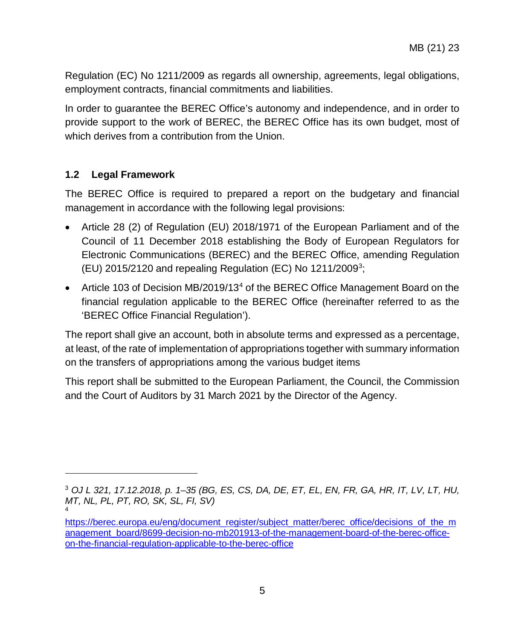Regulation (EC) No 1211/2009 as regards all ownership, agreements, legal obligations, employment contracts, financial commitments and liabilities.

In order to guarantee the BEREC Office's autonomy and independence, and in order to provide support to the work of BEREC, the BEREC Office has its own budget, most of which derives from a contribution from the Union.

# <span id="page-4-0"></span>**1.2 Legal Framework**

 $\overline{a}$ 

The BEREC Office is required to prepared a report on the budgetary and financial management in accordance with the following legal provisions:

- Article 28 (2) of Regulation (EU) 2018/1971 of the European Parliament and of the Council of 11 December 2018 establishing the Body of European Regulators for Electronic Communications (BEREC) and the BEREC Office, amending Regulation (EU) 2015/2120 and repealing Regulation (EC) No 1211/2009<sup>[3](#page-4-1)</sup>;
- Article 103 of Decision MB/2019/13<sup>4</sup> of the BEREC Office Management Board on the financial regulation applicable to the BEREC Office (hereinafter referred to as the 'BEREC Office Financial Regulation').

The report shall give an account, both in absolute terms and expressed as a percentage, at least, of the rate of implementation of appropriations together with summary information on the transfers of appropriations among the various budget items

This report shall be submitted to the European Parliament, the Council, the Commission and the Court of Auditors by 31 March 2021 by the Director of the Agency.

<span id="page-4-1"></span><sup>3</sup> *OJ L 321, 17.12.2018, p. 1–35 (BG, ES, CS, DA, DE, ET, EL, EN, FR, GA, HR, IT, LV, LT, HU, MT, NL, PL, PT, RO, SK, SL, FI, SV)* 4

<span id="page-4-2"></span>[https://berec.europa.eu/eng/document\\_register/subject\\_matter/berec\\_office/decisions\\_of\\_the\\_m](https://berec.europa.eu/eng/document_register/subject_matter/berec_office/decisions_of_the_management_board/8699-decision-no-mb201913-of-the-management-board-of-the-berec-office-on-the-financial-regulation-applicable-to-the-berec-office) [anagement\\_board/8699-decision-no-mb201913-of-the-management-board-of-the-berec-office](https://berec.europa.eu/eng/document_register/subject_matter/berec_office/decisions_of_the_management_board/8699-decision-no-mb201913-of-the-management-board-of-the-berec-office-on-the-financial-regulation-applicable-to-the-berec-office)[on-the-financial-regulation-applicable-to-the-berec-office](https://berec.europa.eu/eng/document_register/subject_matter/berec_office/decisions_of_the_management_board/8699-decision-no-mb201913-of-the-management-board-of-the-berec-office-on-the-financial-regulation-applicable-to-the-berec-office)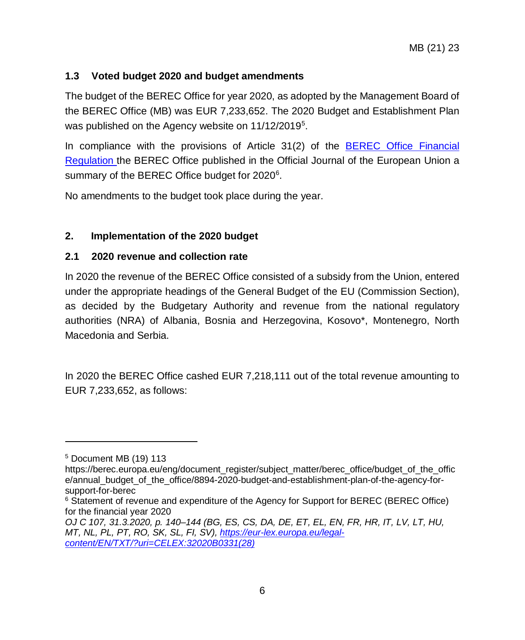# <span id="page-5-0"></span>**1.3 Voted budget 2020 and budget amendments**

The budget of the BEREC Office for year 2020, as adopted by the Management Board of the BEREC Office (MB) was EUR 7,233,652. The 2020 Budget and Establishment Plan was published on the Agency website on 11/12/2019<sup>[5](#page-5-3)</sup>.

In compliance with the provisions of Article 31(2) of the [BEREC Office Financial](https://berec.europa.eu/eng/document_register/subject_matter/berec_office/decisions_of_the_management_board/8699-decision-no-mb201913-of-the-management-board-of-the-berec-office-on-the-financial-regulation-applicable-to-the-berec-office)  [Regulation t](https://berec.europa.eu/eng/document_register/subject_matter/berec_office/decisions_of_the_management_board/8699-decision-no-mb201913-of-the-management-board-of-the-berec-office-on-the-financial-regulation-applicable-to-the-berec-office)he BEREC Office published in the Official Journal of the European Union a summary of the BEREC Office budget for 2020<sup>[6](#page-5-4)</sup>.

No amendments to the budget took place during the year.

# <span id="page-5-1"></span>**2. Implementation of the 2020 budget**

# <span id="page-5-2"></span>**2.1 2020 revenue and collection rate**

In 2020 the revenue of the BEREC Office consisted of a subsidy from the Union, entered under the appropriate headings of the General Budget of the EU (Commission Section), as decided by the Budgetary Authority and revenue from the national regulatory authorities (NRA) of Albania, Bosnia and Herzegovina, Kosovo\*, Montenegro, North Macedonia and Serbia.

In 2020 the BEREC Office cashed EUR 7,218,111 out of the total revenue amounting to EUR 7,233,652, as follows:

 $\overline{a}$ 

<span id="page-5-3"></span><sup>5</sup> Document MB (19) 113

https://berec.europa.eu/eng/document\_register/subject\_matter/berec\_office/budget\_of\_the\_offic e/annual\_budget\_of\_the\_office/8894-2020-budget-and-establishment-plan-of-the-agency-forsupport-for-berec

<span id="page-5-4"></span><sup>&</sup>lt;sup>6</sup> Statement of revenue and expenditure of the Agency for Support for BEREC (BEREC Office) for the financial year 2020

*OJ C 107, 31.3.2020, p. 140–144 (BG, ES, CS, DA, DE, ET, EL, EN, FR, HR, IT, LV, LT, HU, MT, NL, PL, PT, RO, SK, SL, FI, SV), [https://eur-lex.europa.eu/legal](https://eur-lex.europa.eu/legal-content/EN/TXT/?uri=CELEX:32020B0331(28))[content/EN/TXT/?uri=CELEX:32020B0331\(28\)](https://eur-lex.europa.eu/legal-content/EN/TXT/?uri=CELEX:32020B0331(28))*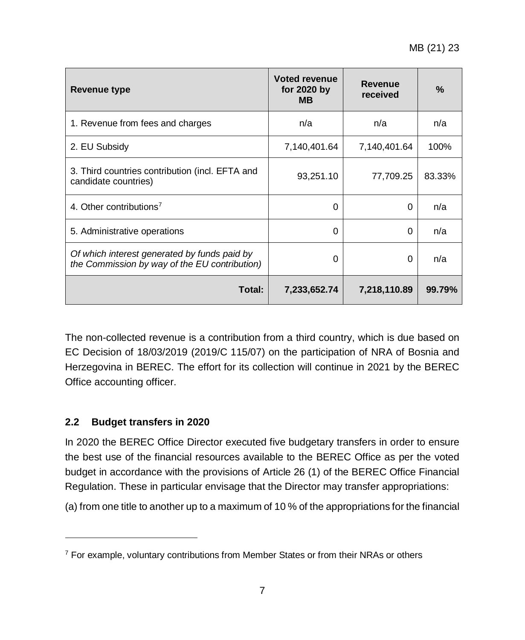| Revenue type                                                                                  | <b>Voted revenue</b><br>for 2020 by<br><b>MB</b> | <b>Revenue</b><br>received | $\%$   |
|-----------------------------------------------------------------------------------------------|--------------------------------------------------|----------------------------|--------|
| 1. Revenue from fees and charges                                                              | n/a                                              | n/a                        | n/a    |
| 2. EU Subsidy                                                                                 | 7,140,401.64                                     | 7,140,401.64               | 100%   |
| 3. Third countries contribution (incl. EFTA and<br>candidate countries)                       | 93,251.10                                        | 77,709.25                  | 83.33% |
| 4. Other contributions <sup>7</sup>                                                           | $\Omega$                                         | $\Omega$                   | n/a    |
| 5. Administrative operations                                                                  | 0                                                | 0                          | n/a    |
| Of which interest generated by funds paid by<br>the Commission by way of the EU contribution) | $\Omega$                                         | $\Omega$                   | n/a    |
| Total:                                                                                        | 7,233,652.74                                     | 7,218,110.89               | 99.79% |

The non-collected revenue is a contribution from a third country, which is due based on EC Decision of 18/03/2019 (2019/C 115/07) on the participation of NRA of Bosnia and Herzegovina in BEREC. The effort for its collection will continue in 2021 by the BEREC Office accounting officer.

# <span id="page-6-0"></span>**2.2 Budget transfers in 2020**

 $\overline{a}$ 

In 2020 the BEREC Office Director executed five budgetary transfers in order to ensure the best use of the financial resources available to the BEREC Office as per the voted budget in accordance with the provisions of Article 26 (1) of the BEREC Office Financial Regulation. These in particular envisage that the Director may transfer appropriations:

(a) from one title to another up to a maximum of 10 % of the appropriations for the financial

<span id="page-6-1"></span> $7$  For example, voluntary contributions from Member States or from their NRAs or others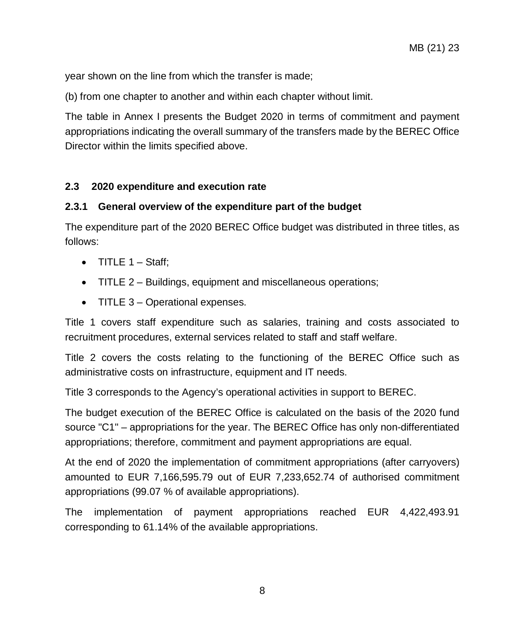year shown on the line from which the transfer is made;

(b) from one chapter to another and within each chapter without limit.

The table in Annex I presents the Budget 2020 in terms of commitment and payment appropriations indicating the overall summary of the transfers made by the BEREC Office Director within the limits specified above.

#### <span id="page-7-0"></span>**2.3 2020 expenditure and execution rate**

#### **2.3.1 General overview of the expenditure part of the budget**

The expenditure part of the 2020 BEREC Office budget was distributed in three titles, as follows:

- TITLE  $1 \text{Staff}:$
- TITLE 2 Buildings, equipment and miscellaneous operations;
- TITLE 3 Operational expenses.

Title 1 covers staff expenditure such as salaries, training and costs associated to recruitment procedures, external services related to staff and staff welfare.

Title 2 covers the costs relating to the functioning of the BEREC Office such as administrative costs on infrastructure, equipment and IT needs.

Title 3 corresponds to the Agency's operational activities in support to BEREC.

The budget execution of the BEREC Office is calculated on the basis of the 2020 fund source "C1" – appropriations for the year. The BEREC Office has only non-differentiated appropriations; therefore, commitment and payment appropriations are equal.

At the end of 2020 the implementation of commitment appropriations (after carryovers) amounted to EUR 7,166,595.79 out of EUR 7,233,652.74 of authorised commitment appropriations (99.07 % of available appropriations).

The implementation of payment appropriations reached EUR 4,422,493.91 corresponding to 61.14% of the available appropriations.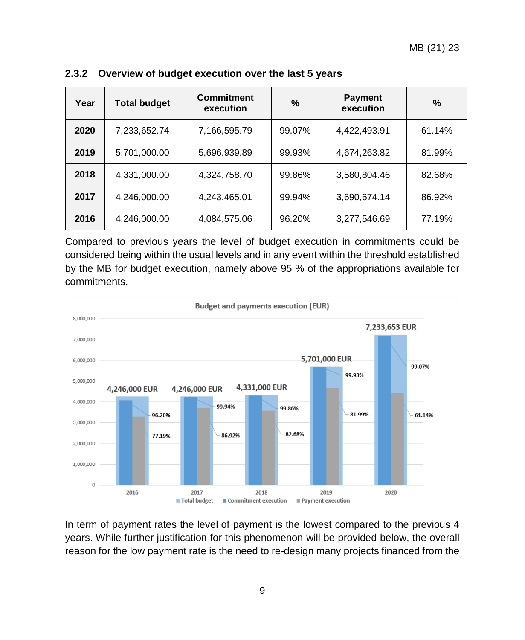| Year | <b>Total budget</b> | <b>Commitment</b><br>execution | $\%$   | <b>Payment</b><br>execution | $\%$   |
|------|---------------------|--------------------------------|--------|-----------------------------|--------|
| 2020 | 7,233,652.74        | 7,166,595.79                   | 99.07% | 4,422,493.91                | 61.14% |
| 2019 | 5,701,000.00        | 5,696,939.89                   | 99.93% | 4,674,263.82                | 81.99% |
| 2018 | 4,331,000.00        | 4,324,758.70                   | 99.86% | 3,580,804.46                | 82.68% |
| 2017 | 4,246,000.00        | 4,243,465.01                   | 99.94% | 3,690,674.14                | 86.92% |
| 2016 | 4,246,000.00        | 4,084,575.06                   | 96.20% | 3,277,546.69                | 77.19% |

#### **2.3.2 Overview of budget execution over the last 5 years**

Compared to previous years the level of budget execution in commitments could be considered being within the usual levels and in any event within the threshold established by the MB for budget execution, namely above 95 % of the appropriations available for commitments.



In term of payment rates the level of payment is the lowest compared to the previous 4 years. While further justification for this phenomenon will be provided below, the overall reason for the low payment rate is the need to re-design many projects financed from the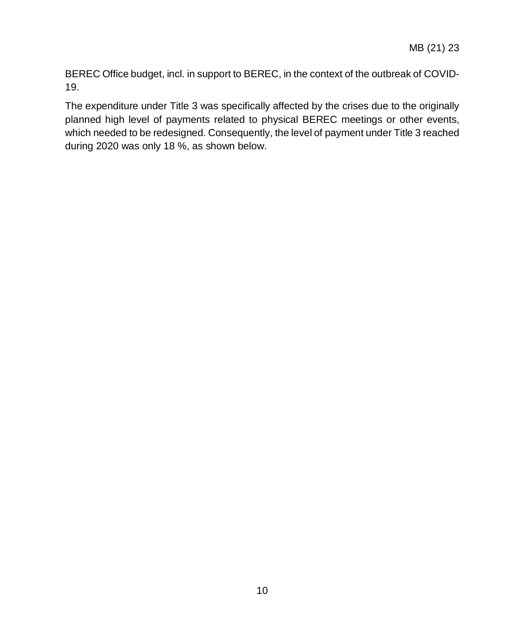BEREC Office budget, incl. in support to BEREC, in the context of the outbreak of COVID-19.

The expenditure under Title 3 was specifically affected by the crises due to the originally planned high level of payments related to physical BEREC meetings or other events, which needed to be redesigned. Consequently, the level of payment under Title 3 reached during 2020 was only 18 %, as shown below.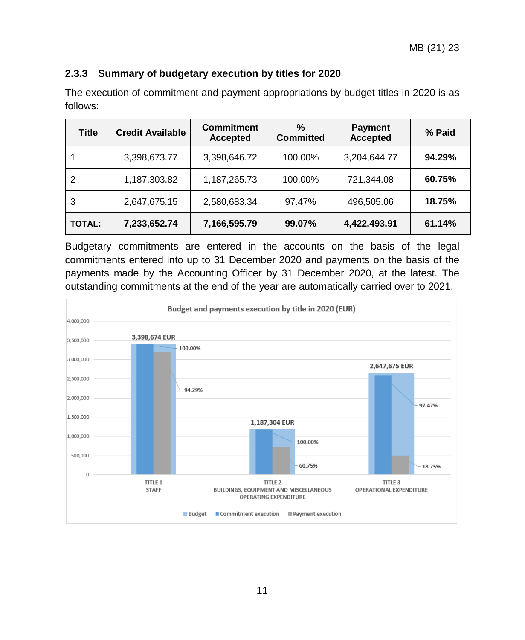# **2.3.3 Summary of budgetary execution by titles for 2020**

| <b>Title</b>  | <b>Credit Available</b> | <b>Commitment</b><br><b>Accepted</b> | $\%$<br><b>Committed</b> | <b>Payment</b><br><b>Accepted</b> | % Paid |
|---------------|-------------------------|--------------------------------------|--------------------------|-----------------------------------|--------|
|               | 3,398,673.77            | 3,398,646.72                         | 100.00%                  | 3,204,644.77                      | 94.29% |
| 2             | 1,187,303.82            | 1,187,265.73                         | 100.00%                  | 721,344.08                        | 60.75% |
| 3             | 2,647,675.15            | 2,580,683.34                         | 97.47%                   | 496,505.06                        | 18.75% |
| <b>TOTAL:</b> | 7,233,652.74            | 7,166,595.79                         | 99.07%                   | 4,422,493.91                      | 61.14% |

The execution of commitment and payment appropriations by budget titles in 2020 is as follows:

Budgetary commitments are entered in the accounts on the basis of the legal commitments entered into up to 31 December 2020 and payments on the basis of the payments made by the Accounting Officer by 31 December 2020, at the latest. The outstanding commitments at the end of the year are automatically carried over to 2021.

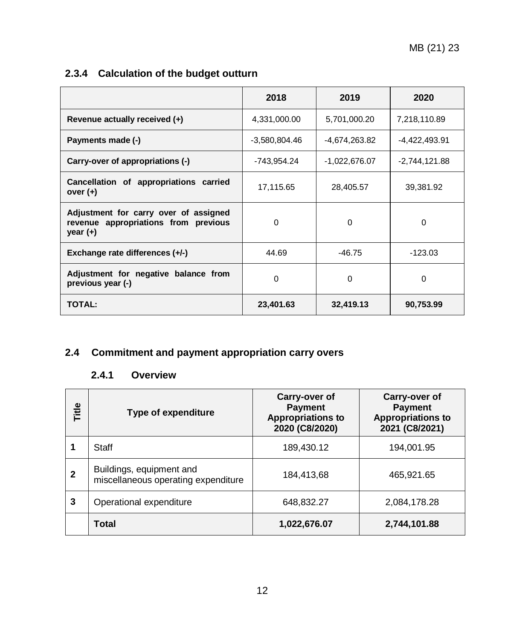# **2.3.4 Calculation of the budget outturn**

|                                                                                             | 2018            | 2019          | 2020          |
|---------------------------------------------------------------------------------------------|-----------------|---------------|---------------|
| Revenue actually received (+)                                                               | 4,331,000.00    | 5,701,000.20  | 7,218,110.89  |
| Payments made (-)                                                                           | $-3,580,804.46$ | -4,674,263.82 | -4,422,493.91 |
| Carry-over of appropriations (-)                                                            | -743,954.24     | -1,022,676.07 | -2,744,121.88 |
| Cancellation of appropriations carried<br>over $(+)$                                        | 17,115.65       | 28,405.57     | 39,381.92     |
| Adjustment for carry over of assigned<br>revenue appropriations from previous<br>year $(+)$ | $\Omega$        | $\Omega$      | 0             |
| Exchange rate differences (+/-)                                                             | 44.69           | -46.75        | -123.03       |
| Adjustment for negative balance from<br>previous year (-)                                   | 0               | $\Omega$      | 0             |
| <b>TOTAL:</b>                                                                               | 23,401.63       | 32,419.13     | 90,753.99     |

# <span id="page-11-1"></span><span id="page-11-0"></span>**2.4 Commitment and payment appropriation carry overs**

# **2.4.1 Overview**

| Title        | <b>Type of expenditure</b>                                      | Carry-over of<br><b>Payment</b><br><b>Appropriations to</b><br>2020 (C8/2020) | Carry-over of<br><b>Payment</b><br><b>Appropriations to</b><br>2021 (C8/2021) |
|--------------|-----------------------------------------------------------------|-------------------------------------------------------------------------------|-------------------------------------------------------------------------------|
|              | Staff                                                           | 189,430.12                                                                    | 194,001.95                                                                    |
| $\mathbf{2}$ | Buildings, equipment and<br>miscellaneous operating expenditure | 184,413,68                                                                    | 465,921.65                                                                    |
| 3            | Operational expenditure                                         | 648,832.27                                                                    | 2,084,178.28                                                                  |
|              | <b>Total</b>                                                    | 1,022,676.07                                                                  | 2,744,101.88                                                                  |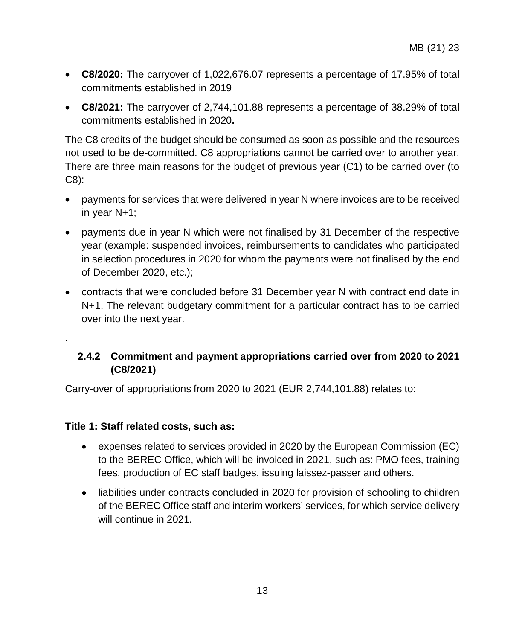- **C8/2020:** The carryover of 1,022,676.07 represents a percentage of 17.95% of total commitments established in 2019
- **C8/2021:** The carryover of 2,744,101.88 represents a percentage of 38.29% of total commitments established in 2020**.**

The C8 credits of the budget should be consumed as soon as possible and the resources not used to be de-committed. C8 appropriations cannot be carried over to another year. There are three main reasons for the budget of previous year (C1) to be carried over (to C8):

- payments for services that were delivered in year N where invoices are to be received in year N+1;
- payments due in year N which were not finalised by 31 December of the respective year (example: suspended invoices, reimbursements to candidates who participated in selection procedures in 2020 for whom the payments were not finalised by the end of December 2020, etc.);
- contracts that were concluded before 31 December year N with contract end date in N+1. The relevant budgetary commitment for a particular contract has to be carried over into the next year.

# <span id="page-12-0"></span>**2.4.2 Commitment and payment appropriations carried over from 2020 to 2021 (C8/2021)**

Carry-over of appropriations from 2020 to 2021 (EUR 2,744,101.88) relates to:

#### **Title 1: Staff related costs, such as:**

.

- expenses related to services provided in 2020 by the European Commission (EC) to the BEREC Office, which will be invoiced in 2021, such as: PMO fees, training fees, production of EC staff badges, issuing laissez-passer and others.
- liabilities under contracts concluded in 2020 for provision of schooling to children of the BEREC Office staff and interim workers' services, for which service delivery will continue in 2021.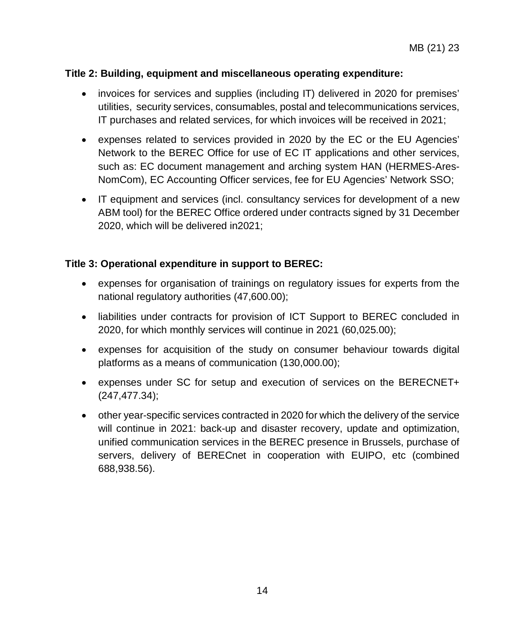#### **Title 2: Building, equipment and miscellaneous operating expenditure:**

- invoices for services and supplies (including IT) delivered in 2020 for premises' utilities, security services, consumables, postal and telecommunications services, IT purchases and related services, for which invoices will be received in 2021;
- expenses related to services provided in 2020 by the EC or the EU Agencies' Network to the BEREC Office for use of EC IT applications and other services, such as: EC document management and arching system HAN (HERMES-Ares-NomCom), EC Accounting Officer services, fee for EU Agencies' Network SSO;
- IT equipment and services (incl. consultancy services for development of a new ABM tool) for the BEREC Office ordered under contracts signed by 31 December 2020, which will be delivered in2021;

#### **Title 3: Operational expenditure in support to BEREC:**

- expenses for organisation of trainings on regulatory issues for experts from the national regulatory authorities (47,600.00);
- liabilities under contracts for provision of ICT Support to BEREC concluded in 2020, for which monthly services will continue in 2021 (60,025.00);
- expenses for acquisition of the study on consumer behaviour towards digital platforms as a means of communication (130,000.00);
- expenses under SC for setup and execution of services on the BERECNET+ (247,477.34);
- other year-specific services contracted in 2020 for which the delivery of the service will continue in 2021: back-up and disaster recovery, update and optimization, unified communication services in the BEREC presence in Brussels, purchase of servers, delivery of BERECnet in cooperation with EUIPO, etc (combined 688,938.56).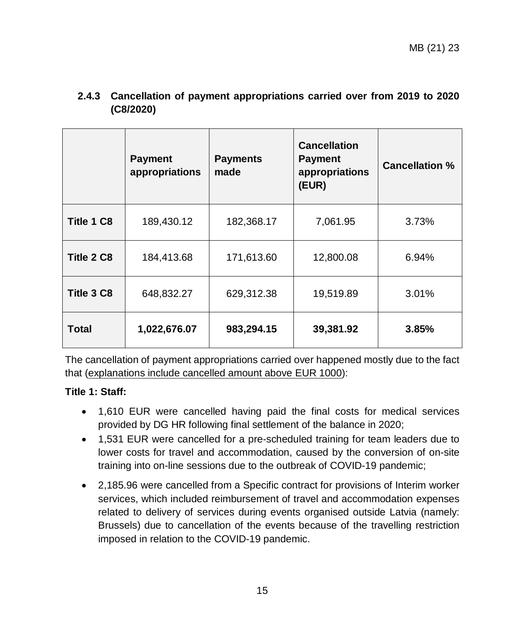|            | <b>Payment</b><br>appropriations | <b>Payments</b><br>made | <b>Cancellation</b><br><b>Payment</b><br>appropriations<br>(EUR) | <b>Cancellation %</b> |
|------------|----------------------------------|-------------------------|------------------------------------------------------------------|-----------------------|
| Title 1 C8 | 189,430.12                       | 182,368.17              | 7,061.95                                                         | 3.73%                 |
| Title 2 C8 | 184,413.68                       | 171,613.60              | 12,800.08                                                        | 6.94%                 |
| Title 3 C8 | 648,832.27                       | 629,312.38              | 19,519.89                                                        | 3.01%                 |
| Total      | 1,022,676.07                     | 983,294.15              | 39,381.92                                                        | 3.85%                 |

<span id="page-14-0"></span>**2.4.3 Cancellation of payment appropriations carried over from 2019 to 2020 (C8/2020)**

The cancellation of payment appropriations carried over happened mostly due to the fact that (explanations include cancelled amount above EUR 1000):

#### **Title 1: Staff:**

- 1,610 EUR were cancelled having paid the final costs for medical services provided by DG HR following final settlement of the balance in 2020;
- 1,531 EUR were cancelled for a pre-scheduled training for team leaders due to lower costs for travel and accommodation, caused by the conversion of on-site training into on-line sessions due to the outbreak of COVID-19 pandemic;
- 2,185.96 were cancelled from a Specific contract for provisions of Interim worker services, which included reimbursement of travel and accommodation expenses related to delivery of services during events organised outside Latvia (namely: Brussels) due to cancellation of the events because of the travelling restriction imposed in relation to the COVID-19 pandemic.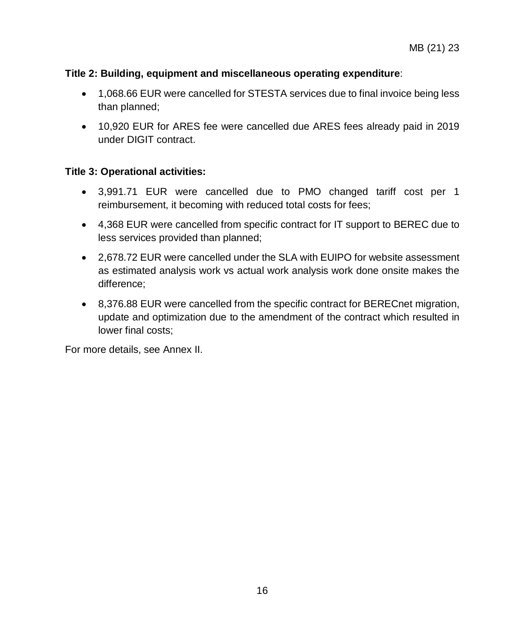#### **Title 2: Building, equipment and miscellaneous operating expenditure**:

- 1,068.66 EUR were cancelled for STESTA services due to final invoice being less than planned;
- 10,920 EUR for ARES fee were cancelled due ARES fees already paid in 2019 under DIGIT contract.

#### **Title 3: Operational activities:**

- 3,991.71 EUR were cancelled due to PMO changed tariff cost per 1 reimbursement, it becoming with reduced total costs for fees;
- 4,368 EUR were cancelled from specific contract for IT support to BEREC due to less services provided than planned;
- 2,678.72 EUR were cancelled under the SLA with EUIPO for website assessment as estimated analysis work vs actual work analysis work done onsite makes the difference;
- 8,376.88 EUR were cancelled from the specific contract for BERECnet migration, update and optimization due to the amendment of the contract which resulted in lower final costs;

For more details, see Annex II.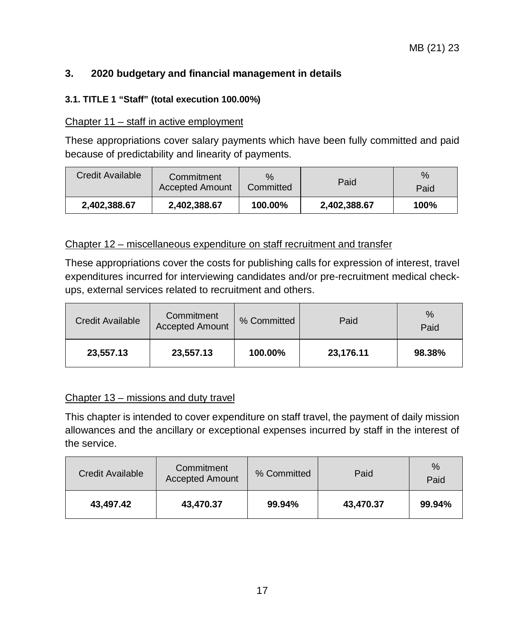# <span id="page-16-0"></span>**3. 2020 budgetary and financial management in details**

#### <span id="page-16-1"></span>**3.1. TITLE 1 "Staff" (total execution 100.00%)**

#### Chapter 11 – staff in active employment

These appropriations cover salary payments which have been fully committed and paid because of predictability and linearity of payments.

| Credit Available | Commitment<br><b>Accepted Amount</b> | $\%$<br>Committed | Paid         | $\%$<br>Paid |
|------------------|--------------------------------------|-------------------|--------------|--------------|
| 2,402,388.67     | 2.402.388.67                         | 100.00%           | 2,402,388.67 | 100%         |

#### Chapter 12 – miscellaneous expenditure on staff recruitment and transfer

These appropriations cover the costs for publishing calls for expression of interest, travel expenditures incurred for interviewing candidates and/or pre-recruitment medical checkups, external services related to recruitment and others.

| <b>Credit Available</b> | Commitment<br><b>Accepted Amount</b> | % Committed | Paid      | $\%$<br>Paid |
|-------------------------|--------------------------------------|-------------|-----------|--------------|
| 23,557.13               | 23,557.13                            | 100.00%     | 23,176.11 | 98.38%       |

#### Chapter 13 – missions and duty travel

This chapter is intended to cover expenditure on staff travel, the payment of daily mission allowances and the ancillary or exceptional expenses incurred by staff in the interest of the service.

| Credit Available | Commitment<br><b>Accepted Amount</b> | % Committed | Paid      | $\%$<br>Paid |
|------------------|--------------------------------------|-------------|-----------|--------------|
| 43.497.42        | 43,470.37                            | 99.94%      | 43,470.37 | 99.94%       |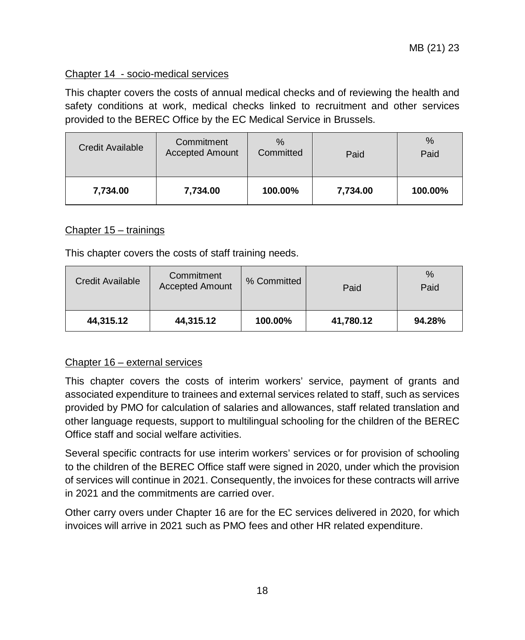#### Chapter 14 - socio-medical services

This chapter covers the costs of annual medical checks and of reviewing the health and safety conditions at work, medical checks linked to recruitment and other services provided to the BEREC Office by the EC Medical Service in Brussels.

| <b>Credit Available</b> | Commitment<br><b>Accepted Amount</b> | $\%$<br>Committed | Paid     | %<br>Paid |
|-------------------------|--------------------------------------|-------------------|----------|-----------|
| 7,734.00                | 7,734.00                             | 100.00%           | 7,734.00 | 100.00%   |

#### Chapter 15 – trainings

This chapter covers the costs of staff training needs.

| Credit Available | Commitment<br><b>Accepted Amount</b> | % Committed | Paid      | %<br>Paid |
|------------------|--------------------------------------|-------------|-----------|-----------|
| 44,315.12        | 44,315.12                            | 100.00%     | 41,780.12 | 94.28%    |

#### Chapter 16 – external services

This chapter covers the costs of interim workers' service, payment of grants and associated expenditure to trainees and external services related to staff, such as services provided by PMO for calculation of salaries and allowances, staff related translation and other language requests, support to multilingual schooling for the children of the BEREC Office staff and social welfare activities.

Several specific contracts for use interim workers' services or for provision of schooling to the children of the BEREC Office staff were signed in 2020, under which the provision of services will continue in 2021. Consequently, the invoices for these contracts will arrive in 2021 and the commitments are carried over.

Other carry overs under Chapter 16 are for the EC services delivered in 2020, for which invoices will arrive in 2021 such as PMO fees and other HR related expenditure.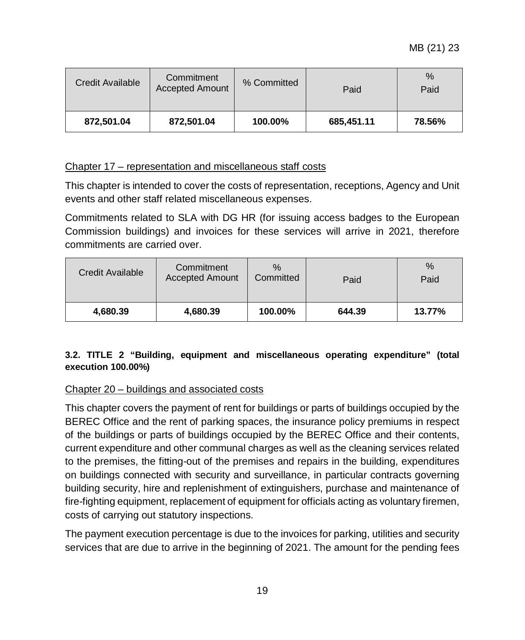MB (21) 23

| Credit Available         | Commitment<br><b>Accepted Amount</b> | % Committed | Paid       | $\%$<br>Paid |
|--------------------------|--------------------------------------|-------------|------------|--------------|
| 872,501.04<br>872,501.04 |                                      | 100.00%     | 685,451.11 | 78.56%       |

#### Chapter 17 – representation and miscellaneous staff costs

This chapter is intended to cover the costs of representation, receptions, Agency and Unit events and other staff related miscellaneous expenses.

Commitments related to SLA with DG HR (for issuing access badges to the European Commission buildings) and invoices for these services will arrive in 2021, therefore commitments are carried over.

| Credit Available     | Commitment<br><b>Accepted Amount</b> | $\%$<br>Committed | Paid   | %<br>Paid |
|----------------------|--------------------------------------|-------------------|--------|-----------|
| 4,680.39<br>4,680.39 |                                      | 100.00%           | 644.39 | 13.77%    |

#### <span id="page-18-0"></span>**3.2. TITLE 2 "Building, equipment and miscellaneous operating expenditure" (total execution 100.00%)**

#### Chapter 20 – buildings and associated costs

This chapter covers the payment of rent for buildings or parts of buildings occupied by the BEREC Office and the rent of parking spaces, the insurance policy premiums in respect of the buildings or parts of buildings occupied by the BEREC Office and their contents, current expenditure and other communal charges as well as the cleaning services related to the premises, the fitting-out of the premises and repairs in the building, expenditures on buildings connected with security and surveillance, in particular contracts governing building security, hire and replenishment of extinguishers, purchase and maintenance of fire-fighting equipment, replacement of equipment for officials acting as voluntary firemen, costs of carrying out statutory inspections.

The payment execution percentage is due to the invoices for parking, utilities and security services that are due to arrive in the beginning of 2021. The amount for the pending fees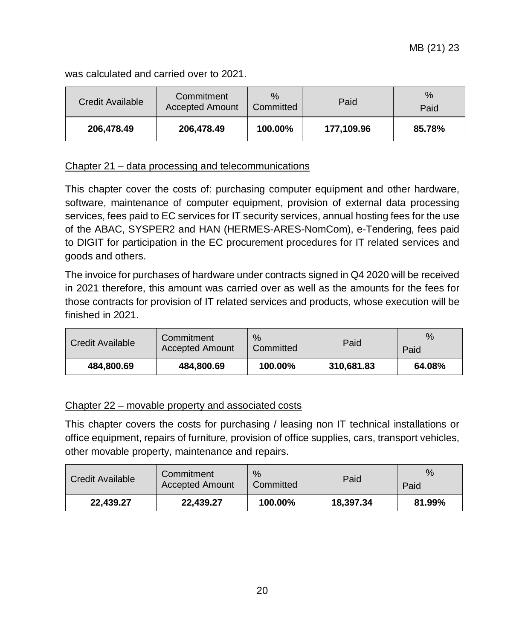was calculated and carried over to 2021.

| Credit Available | Commitment<br><b>Accepted Amount</b> | $\%$<br>Committed | Paid       | $\%$<br>Paid |
|------------------|--------------------------------------|-------------------|------------|--------------|
| 206,478.49       | 206,478.49                           | 100.00%           | 177,109.96 | 85.78%       |

#### Chapter 21 – data processing and telecommunications

This chapter cover the costs of: purchasing computer equipment and other hardware, software, maintenance of computer equipment, provision of external data processing services, fees paid to EC services for IT security services, annual hosting fees for the use of the ABAC, SYSPER2 and HAN (HERMES-ARES-NomCom), e-Tendering, fees paid to DIGIT for participation in the EC procurement procedures for IT related services and goods and others.

The invoice for purchases of hardware under contracts signed in Q4 2020 will be received in 2021 therefore, this amount was carried over as well as the amounts for the fees for those contracts for provision of IT related services and products, whose execution will be finished in 2021.

| Credit Available | Commitment<br><b>Accepted Amount</b> | $\%$<br>Committed | Paid       | %<br>Paid |
|------------------|--------------------------------------|-------------------|------------|-----------|
| 484.800.69       | 484,800.69                           | 100.00%           | 310,681.83 | 64.08%    |

#### Chapter 22 – movable property and associated costs

This chapter covers the costs for purchasing / leasing non IT technical installations or office equipment, repairs of furniture, provision of office supplies, cars, transport vehicles, other movable property, maintenance and repairs.

| <b>Credit Available</b> | Commitment<br><b>Accepted Amount</b> | $\%$<br>Committed | Paid      | $\%$<br>Paid |
|-------------------------|--------------------------------------|-------------------|-----------|--------------|
| 22.439.27               | 22.439.27                            | 100.00%           | 18.397.34 | 81.99%       |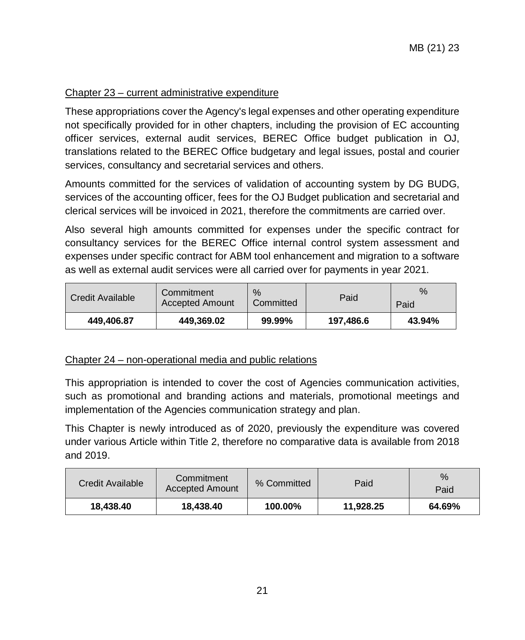#### Chapter 23 – current administrative expenditure

These appropriations cover the Agency's legal expenses and other operating expenditure not specifically provided for in other chapters, including the provision of EC accounting officer services, external audit services, BEREC Office budget publication in OJ, translations related to the BEREC Office budgetary and legal issues, postal and courier services, consultancy and secretarial services and others.

Amounts committed for the services of validation of accounting system by DG BUDG, services of the accounting officer, fees for the OJ Budget publication and secretarial and clerical services will be invoiced in 2021, therefore the commitments are carried over.

Also several high amounts committed for expenses under the specific contract for consultancy services for the BEREC Office internal control system assessment and expenses under specific contract for ABM tool enhancement and migration to a software as well as external audit services were all carried over for payments in year 2021.

| Commitment<br><b>Credit Available</b><br><b>Accepted Amount</b> |  | $\%$<br>Committed | Paid      | $\%$<br>Paid |
|-----------------------------------------------------------------|--|-------------------|-----------|--------------|
| 449.369.02<br>449.406.87                                        |  | 99.99%            | 197.486.6 | 43.94%       |

#### Chapter 24 – non-operational media and public relations

This appropriation is intended to cover the cost of Agencies communication activities, such as promotional and branding actions and materials, promotional meetings and implementation of the Agencies communication strategy and plan.

This Chapter is newly introduced as of 2020, previously the expenditure was covered under various Article within Title 2, therefore no comparative data is available from 2018 and 2019.

| Credit Available | Commitment<br><b>Accepted Amount</b> |         | Paid      | $\%$<br>Paid |
|------------------|--------------------------------------|---------|-----------|--------------|
| 18.438.40        | 18.438.40                            | 100.00% | 11.928.25 | 64.69%       |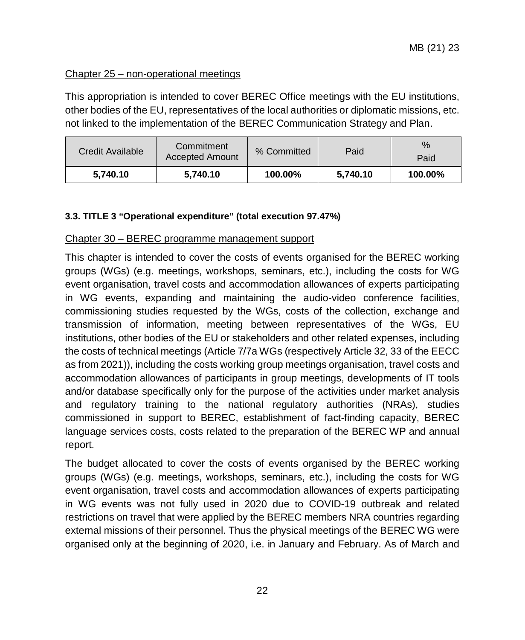#### Chapter 25 – non-operational meetings

This appropriation is intended to cover BEREC Office meetings with the EU institutions, other bodies of the EU, representatives of the local authorities or diplomatic missions, etc. not linked to the implementation of the BEREC Communication Strategy and Plan.

| Commitment<br>Credit Available<br>Accepted Amount |          | % Committed | Paid     | %<br>Paid |  |
|---------------------------------------------------|----------|-------------|----------|-----------|--|
| 5.740.10                                          | 5.740.10 | 100.00%     | 5,740.10 | 100.00%   |  |

#### <span id="page-21-0"></span>**3.3. TITLE 3 "Operational expenditure" (total execution 97.47%)**

#### Chapter 30 – BEREC programme management support

This chapter is intended to cover the costs of events organised for the BEREC working groups (WGs) (e.g. meetings, workshops, seminars, etc.), including the costs for WG event organisation, travel costs and accommodation allowances of experts participating in WG events, expanding and maintaining the audio-video conference facilities, commissioning studies requested by the WGs, costs of the collection, exchange and transmission of information, meeting between representatives of the WGs, EU institutions, other bodies of the EU or stakeholders and other related expenses, including the costs of technical meetings (Article 7/7a WGs (respectively Article 32, 33 of the EECC as from 2021)), including the costs working group meetings organisation, travel costs and accommodation allowances of participants in group meetings, developments of IT tools and/or database specifically only for the purpose of the activities under market analysis and regulatory training to the national regulatory authorities (NRAs), studies commissioned in support to BEREC, establishment of fact-finding capacity, BEREC language services costs, costs related to the preparation of the BEREC WP and annual report.

The budget allocated to cover the costs of events organised by the BEREC working groups (WGs) (e.g. meetings, workshops, seminars, etc.), including the costs for WG event organisation, travel costs and accommodation allowances of experts participating in WG events was not fully used in 2020 due to COVID-19 outbreak and related restrictions on travel that were applied by the BEREC members NRA countries regarding external missions of their personnel. Thus the physical meetings of the BEREC WG were organised only at the beginning of 2020, i.e. in January and February. As of March and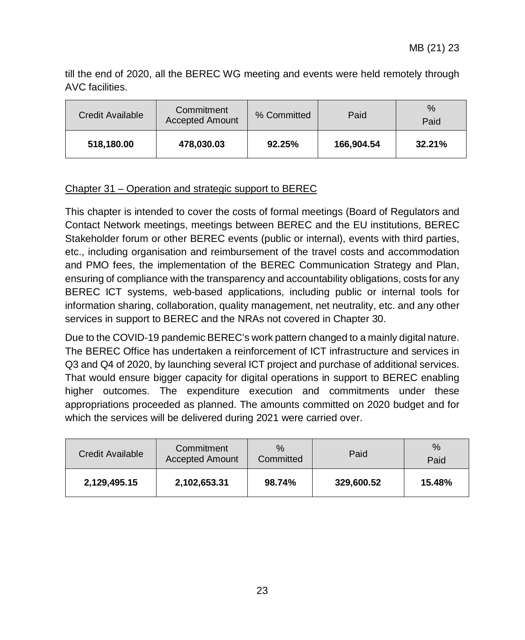till the end of 2020, all the BEREC WG meeting and events were held remotely through AVC facilities.

| Credit Available | Commitment<br><b>Accepted Amount</b> | % Committed | Paid       | $\%$<br>Paid |  |
|------------------|--------------------------------------|-------------|------------|--------------|--|
| 518,180.00       | 478,030.03                           | 92.25%      | 166.904.54 | 32.21%       |  |

#### Chapter 31 – Operation and strategic support to BEREC

This chapter is intended to cover the costs of formal meetings (Board of Regulators and Contact Network meetings, meetings between BEREC and the EU institutions, BEREC Stakeholder forum or other BEREC events (public or internal), events with third parties, etc., including organisation and reimbursement of the travel costs and accommodation and PMO fees, the implementation of the BEREC Communication Strategy and Plan, ensuring of compliance with the transparency and accountability obligations, costs for any BEREC ICT systems, web-based applications, including public or internal tools for information sharing, collaboration, quality management, net neutrality, etc. and any other services in support to BEREC and the NRAs not covered in Chapter 30.

Due to the COVID-19 pandemic BEREC's work pattern changed to a mainly digital nature. The BEREC Office has undertaken a reinforcement of ICT infrastructure and services in Q3 and Q4 of 2020, by launching several ICT project and purchase of additional services. That would ensure bigger capacity for digital operations in support to BEREC enabling higher outcomes. The expenditure execution and commitments under these appropriations proceeded as planned. The amounts committed on 2020 budget and for which the services will be delivered during 2021 were carried over.

| Credit Available | Commitment<br><b>Accepted Amount</b> | $\%$<br>Committed | Paid       | $\%$<br>Paid |
|------------------|--------------------------------------|-------------------|------------|--------------|
| 2,129,495.15     | 2,102,653.31                         | 98.74%            | 329,600.52 | 15.48%       |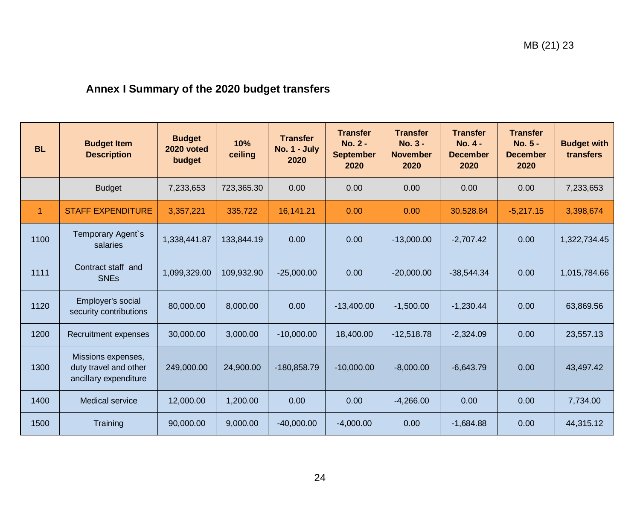# **Annex I Summary of the 2020 budget transfers**

<span id="page-23-0"></span>

| <b>BL</b> | <b>Budget Item</b><br><b>Description</b>                             | <b>Budget</b><br>2020 voted<br>budget | 10%<br>ceiling | <b>Transfer</b><br>No. 1 - July<br>2020 | <b>Transfer</b><br>No. 2 -<br><b>September</b><br>2020 | <b>Transfer</b><br>$No. 3 -$<br><b>November</b><br>2020 | <b>Transfer</b><br>No. 4 -<br><b>December</b><br>2020 | <b>Transfer</b><br>No. 5 -<br><b>December</b><br>2020 | <b>Budget with</b><br>transfers |
|-----------|----------------------------------------------------------------------|---------------------------------------|----------------|-----------------------------------------|--------------------------------------------------------|---------------------------------------------------------|-------------------------------------------------------|-------------------------------------------------------|---------------------------------|
|           | <b>Budget</b>                                                        | 7,233,653                             | 723,365.30     | 0.00                                    | 0.00                                                   | 0.00                                                    | 0.00                                                  | 0.00                                                  | 7,233,653                       |
| 1         | <b>STAFF EXPENDITURE</b>                                             | 3,357,221                             | 335,722        | 16,141.21                               | 0.00                                                   | 0.00                                                    | 30,528.84                                             | $-5,217.15$                                           | 3,398,674                       |
| 1100      | Temporary Agent's<br>salaries                                        | 1,338,441.87                          | 133,844.19     | 0.00                                    | 0.00                                                   | $-13,000.00$                                            | $-2,707.42$                                           | 0.00                                                  | 1,322,734.45                    |
| 1111      | Contract staff and<br><b>SNEs</b>                                    | 1,099,329.00                          | 109,932.90     | $-25,000.00$                            | 0.00                                                   | $-20,000.00$                                            | $-38,544.34$                                          | 0.00                                                  | 1,015,784.66                    |
| 1120      | Employer's social<br>security contributions                          | 80,000.00                             | 8,000.00       | 0.00                                    | $-13,400.00$                                           | $-1,500.00$                                             | $-1,230.44$                                           | 0.00                                                  | 63,869.56                       |
| 1200      | Recruitment expenses                                                 | 30,000.00                             | 3,000.00       | $-10,000.00$                            | 18,400.00                                              | $-12,518.78$                                            | $-2,324.09$                                           | 0.00                                                  | 23,557.13                       |
| 1300      | Missions expenses.<br>duty travel and other<br>ancillary expenditure | 249,000.00                            | 24,900.00      | $-180,858.79$                           | $-10,000.00$                                           | $-8,000.00$                                             | $-6,643.79$                                           | 0.00                                                  | 43,497.42                       |
| 1400      | Medical service                                                      | 12,000.00                             | 1,200.00       | 0.00                                    | 0.00                                                   | $-4,266.00$                                             | 0.00                                                  | 0.00                                                  | 7,734.00                        |
| 1500      | Training                                                             | 90,000.00                             | 9,000.00       | $-40,000.00$                            | $-4,000.00$                                            | 0.00                                                    | $-1,684.88$                                           | 0.00                                                  | 44,315.12                       |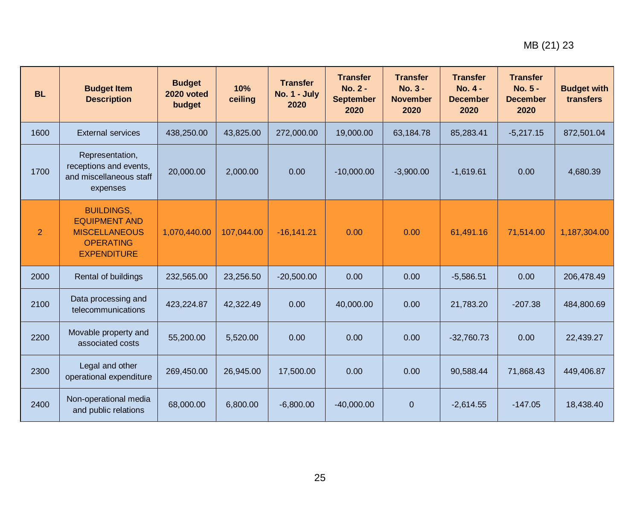| <b>BL</b>      | <b>Budget Item</b><br><b>Description</b>                                                                    | <b>Budget</b><br>2020 voted<br>budget | 10%<br>ceiling | <b>Transfer</b><br><b>No. 1 - July</b><br>2020 | <b>Transfer</b><br><b>No. 2 -</b><br><b>September</b><br>2020 | <b>Transfer</b><br>$No. 3 -$<br><b>November</b><br>2020 | <b>Transfer</b><br>No. 4 -<br><b>December</b><br>2020 | <b>Transfer</b><br>No. 5 -<br><b>December</b><br>2020 | <b>Budget with</b><br>transfers |
|----------------|-------------------------------------------------------------------------------------------------------------|---------------------------------------|----------------|------------------------------------------------|---------------------------------------------------------------|---------------------------------------------------------|-------------------------------------------------------|-------------------------------------------------------|---------------------------------|
| 1600           | <b>External services</b>                                                                                    | 438,250.00                            | 43,825.00      | 272,000.00                                     | 19,000.00                                                     | 63,184.78                                               | 85,283.41                                             | $-5,217.15$                                           | 872,501.04                      |
| 1700           | Representation,<br>receptions and events,<br>and miscellaneous staff<br>expenses                            | 20,000.00                             | 2,000.00       | 0.00                                           | $-10,000.00$                                                  | $-3,900.00$                                             | $-1,619.61$                                           | 0.00                                                  | 4,680.39                        |
| $\overline{2}$ | <b>BUILDINGS,</b><br><b>EQUIPMENT AND</b><br><b>MISCELLANEOUS</b><br><b>OPERATING</b><br><b>EXPENDITURE</b> | 1,070,440.00                          | 107,044.00     | $-16,141.21$                                   | 0.00                                                          | 0.00                                                    | 61,491.16                                             | 71,514.00                                             | 1,187,304.00                    |
| 2000           | Rental of buildings                                                                                         | 232,565.00                            | 23,256.50      | $-20,500.00$                                   | 0.00                                                          | 0.00                                                    | $-5,586.51$                                           | 0.00                                                  | 206,478.49                      |
| 2100           | Data processing and<br>telecommunications                                                                   | 423,224.87                            | 42,322.49      | 0.00                                           | 40,000.00                                                     | 0.00                                                    | 21,783.20                                             | $-207.38$                                             | 484,800.69                      |
| 2200           | Movable property and<br>associated costs                                                                    | 55,200.00                             | 5,520.00       | 0.00                                           | 0.00                                                          | 0.00                                                    | $-32,760.73$                                          | 0.00                                                  | 22,439.27                       |
| 2300           | Legal and other<br>operational expenditure                                                                  | 269,450.00                            | 26,945.00      | 17,500.00                                      | 0.00                                                          | 0.00                                                    | 90,588.44                                             | 71,868.43                                             | 449,406.87                      |
| 2400           | Non-operational media<br>and public relations                                                               | 68,000.00                             | 6,800.00       | $-6,800.00$                                    | $-40,000.00$                                                  | $\mathbf{0}$                                            | $-2,614.55$                                           | $-147.05$                                             | 18,438.40                       |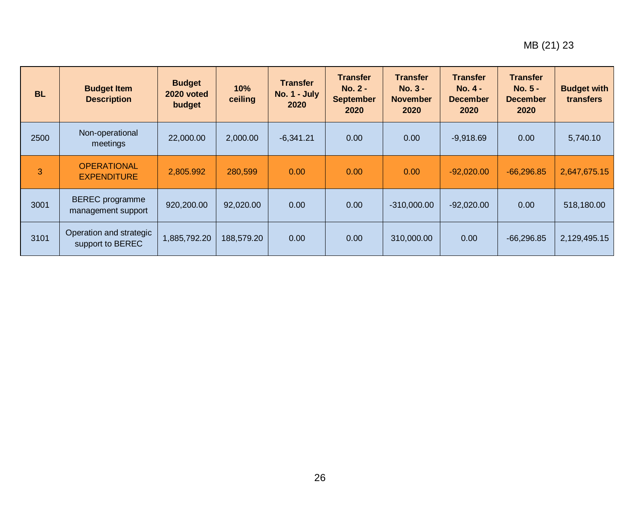| <b>BL</b> | <b>Budget Item</b><br><b>Description</b>     | <b>Budget</b><br>2020 voted<br>budget | 10%<br>ceiling | <b>Transfer</b><br><b>No. 1 - July</b><br>2020 | <b>Transfer</b><br>$No. 2 -$<br><b>September</b><br>2020 | <b>Transfer</b><br>$No. 3 -$<br><b>November</b><br>2020 | <b>Transfer</b><br>$No. 4 -$<br><b>December</b><br>2020 | <b>Transfer</b><br><b>No. 5 -</b><br><b>December</b><br>2020 | <b>Budget with</b><br>transfers |
|-----------|----------------------------------------------|---------------------------------------|----------------|------------------------------------------------|----------------------------------------------------------|---------------------------------------------------------|---------------------------------------------------------|--------------------------------------------------------------|---------------------------------|
| 2500      | Non-operational<br>meetings                  | 22,000.00                             | 2,000.00       | $-6,341.21$                                    | 0.00                                                     | 0.00                                                    | $-9,918.69$                                             | 0.00                                                         | 5,740.10                        |
| 3         | <b>OPERATIONAL</b><br><b>EXPENDITURE</b>     | 2,805.992                             | 280,599        | 0.00                                           | 0.00                                                     | 0.00                                                    | $-92,020.00$                                            | $-66,296.85$                                                 | 2,647,675.15                    |
| 3001      | <b>BEREC</b> programme<br>management support | 920,200.00                            | 92,020.00      | 0.00                                           | 0.00                                                     | $-310,000.00$                                           | $-92,020.00$                                            | 0.00                                                         | 518,180.00                      |
| 3101      | Operation and strategic<br>support to BEREC  | 1,885,792.20                          | 188,579.20     | 0.00                                           | 0.00                                                     | 310,000.00                                              | 0.00                                                    | $-66.296.85$                                                 | 2,129,495.15                    |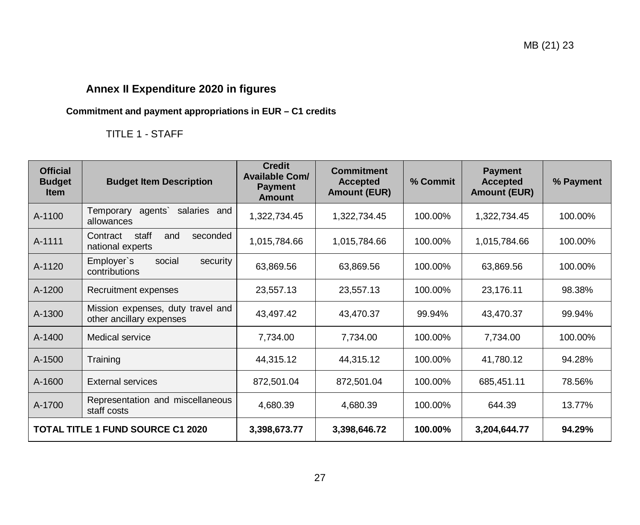# **Annex II Expenditure 2020 in figures**

# **Commitment and payment appropriations in EUR – C1 credits**

# TITLE 1 - STAFF

<span id="page-26-1"></span><span id="page-26-0"></span>

| <b>Official</b><br><b>Budget</b><br><b>Item</b> | <b>Budget Item Description</b>                                | <b>Credit</b><br><b>Available Com/</b><br><b>Payment</b><br><b>Amount</b> | <b>Commitment</b><br><b>Accepted</b><br><b>Amount (EUR)</b> | % Commit | <b>Payment</b><br><b>Accepted</b><br><b>Amount (EUR)</b> | % Payment |
|-------------------------------------------------|---------------------------------------------------------------|---------------------------------------------------------------------------|-------------------------------------------------------------|----------|----------------------------------------------------------|-----------|
| A-1100                                          | salaries and<br>Temporary<br>agents`<br>allowances            | 1,322,734.45                                                              | 1,322,734.45                                                | 100.00%  | 1,322,734.45                                             | 100.00%   |
| A-1111                                          | Contract<br>staff<br>seconded<br>and<br>national experts      | 1,015,784.66                                                              | 1,015,784.66                                                | 100.00%  | 1,015,784.66                                             | 100.00%   |
| A-1120                                          | Employer's<br>social<br>security<br>contributions             | 63,869.56                                                                 | 63,869.56                                                   | 100.00%  | 63,869.56                                                | 100.00%   |
| A-1200                                          | Recruitment expenses                                          | 23,557.13                                                                 | 23,557.13                                                   | 100.00%  | 23,176.11                                                | 98.38%    |
| A-1300                                          | Mission expenses, duty travel and<br>other ancillary expenses | 43,497.42                                                                 | 43,470.37                                                   | 99.94%   | 43,470.37                                                | 99.94%    |
| A-1400                                          | Medical service                                               | 7,734.00                                                                  | 7,734.00                                                    | 100.00%  | 7,734.00                                                 | 100.00%   |
| A-1500                                          | Training                                                      | 44,315.12                                                                 | 44,315.12                                                   | 100.00%  | 41,780.12                                                | 94.28%    |
| A-1600                                          | <b>External services</b>                                      | 872,501.04                                                                | 872,501.04                                                  | 100.00%  | 685,451.11                                               | 78.56%    |
| A-1700                                          | Representation and miscellaneous<br>staff costs               | 4,680.39                                                                  | 4,680.39                                                    | 100.00%  | 644.39                                                   | 13.77%    |
|                                                 | <b>TOTAL TITLE 1 FUND SOURCE C1 2020</b>                      | 3,398,673.77                                                              | 3,398,646.72                                                | 100.00%  | 3,204,644.77                                             | 94.29%    |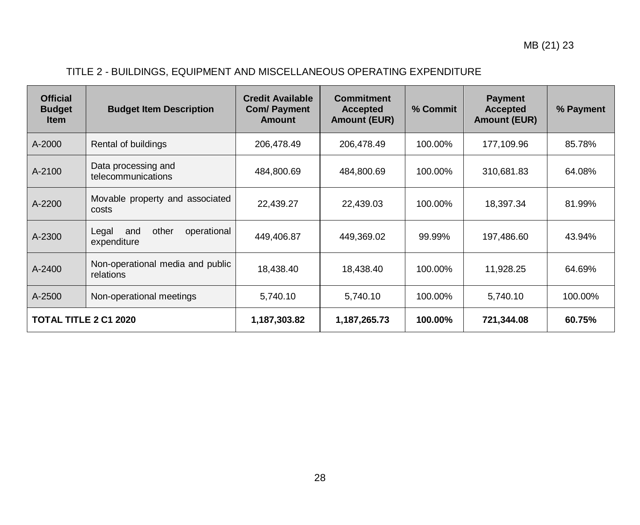# TITLE 2 - BUILDINGS, EQUIPMENT AND MISCELLANEOUS OPERATING EXPENDITURE

| <b>Official</b><br><b>Budget</b><br><b>Item</b> | <b>Budget Item Description</b>                      | <b>Credit Available</b><br><b>Com/ Payment</b><br>Amount | <b>Commitment</b><br><b>Accepted</b><br><b>Amount (EUR)</b> | % Commit | <b>Payment</b><br><b>Accepted</b><br><b>Amount (EUR)</b> | % Payment |
|-------------------------------------------------|-----------------------------------------------------|----------------------------------------------------------|-------------------------------------------------------------|----------|----------------------------------------------------------|-----------|
| A-2000                                          | Rental of buildings                                 | 206,478.49                                               | 206,478.49                                                  | 100.00%  | 177,109.96                                               | 85.78%    |
| A-2100                                          | Data processing and<br>telecommunications           | 484,800.69                                               | 484,800.69                                                  | 100.00%  | 310,681.83                                               | 64.08%    |
| A-2200                                          | Movable property and associated<br>costs            | 22,439.27                                                | 22,439.03                                                   | 100.00%  | 18,397.34                                                | 81.99%    |
| A-2300                                          | other<br>operational<br>Legal<br>and<br>expenditure | 449,406.87                                               | 449,369.02                                                  | 99.99%   | 197,486.60                                               | 43.94%    |
| A-2400                                          | Non-operational media and public<br>relations       | 18,438.40                                                | 18,438.40                                                   | 100.00%  | 11,928.25                                                | 64.69%    |
| A-2500                                          | Non-operational meetings                            | 5,740.10                                                 | 5,740.10                                                    | 100.00%  | 5,740.10                                                 | 100.00%   |
| <b>TOTAL TITLE 2 C1 2020</b>                    |                                                     | 1,187,303.82                                             | 1,187,265.73                                                | 100.00%  | 721,344.08                                               | 60.75%    |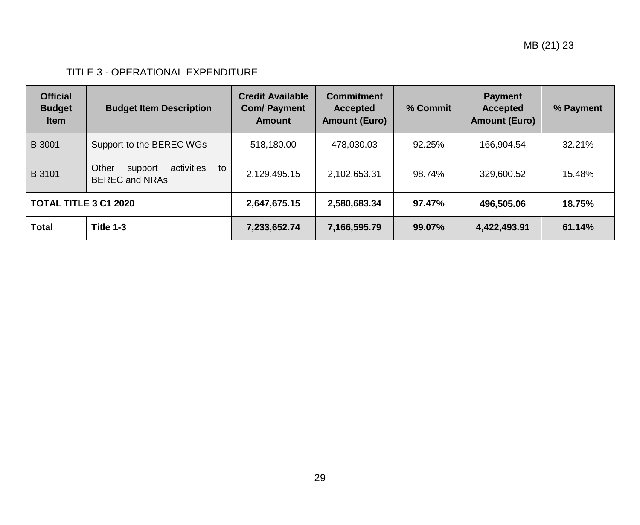# TITLE 3 - OPERATIONAL EXPENDITURE

| <b>Official</b><br><b>Budget</b><br><b>Item</b> | <b>Budget Item Description</b>                                | <b>Credit Available</b><br><b>Com/ Payment</b><br><b>Amount</b> | <b>Commitment</b><br><b>Accepted</b><br><b>Amount (Euro)</b> | % Commit | <b>Payment</b><br><b>Accepted</b><br><b>Amount (Euro)</b> | % Payment |
|-------------------------------------------------|---------------------------------------------------------------|-----------------------------------------------------------------|--------------------------------------------------------------|----------|-----------------------------------------------------------|-----------|
| <b>B</b> 3001                                   | Support to the BEREC WGs                                      | 518,180.00                                                      | 478.030.03                                                   | 92.25%   | 166,904.54                                                | 32.21%    |
| B 3101                                          | Other<br>activities<br>to<br>support<br><b>BEREC and NRAs</b> | 2,129,495.15                                                    | 2,102,653.31                                                 | 98.74%   | 329,600.52                                                | 15.48%    |
| <b>TOTAL TITLE 3 C1 2020</b>                    |                                                               | 2,647,675.15                                                    | 2,580,683.34                                                 | 97.47%   | 496,505.06                                                | 18.75%    |
| Total                                           | Title 1-3                                                     | 7,233,652.74                                                    | 7,166,595.79                                                 | 99.07%   | 4,422,493.91                                              | 61.14%    |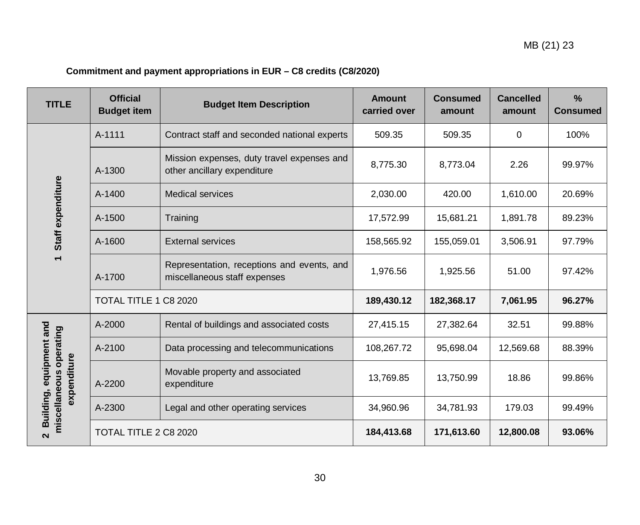# **Commitment and payment appropriations in EUR – C8 credits (C8/2020)**

<span id="page-29-0"></span>

| <b>TITLE</b>                                                      | <b>Official</b><br><b>Budget item</b> | <b>Budget Item Description</b>                                             |            | <b>Consumed</b><br>amount | <b>Cancelled</b><br>amount | $\frac{0}{0}$<br><b>Consumed</b> |
|-------------------------------------------------------------------|---------------------------------------|----------------------------------------------------------------------------|------------|---------------------------|----------------------------|----------------------------------|
|                                                                   | A-1111                                | Contract staff and seconded national experts                               | 509.35     | 509.35                    | 0                          | 100%                             |
|                                                                   | A-1300                                | Mission expenses, duty travel expenses and<br>other ancillary expenditure  | 8,775.30   | 8,773.04                  | 2.26                       | 99.97%                           |
|                                                                   | A-1400                                | <b>Medical services</b>                                                    | 2,030.00   | 420.00                    | 1,610.00                   | 20.69%                           |
| Staff expenditure                                                 | A-1500                                | Training                                                                   | 17,572.99  | 15,681.21                 | 1,891.78                   | 89.23%                           |
|                                                                   | A-1600                                | <b>External services</b>                                                   | 158,565.92 | 155,059.01                | 3,506.91                   | 97.79%                           |
|                                                                   | A-1700                                | Representation, receptions and events, and<br>miscellaneous staff expenses | 1,976.56   | 1,925.56                  | 51.00                      | 97.42%                           |
|                                                                   | TOTAL TITLE 1 C8 2020                 |                                                                            | 189,430.12 | 182,368.17                | 7,061.95                   | 96.27%                           |
|                                                                   | A-2000                                | Rental of buildings and associated costs                                   | 27,415.15  | 27,382.64                 | 32.51                      | 99.88%                           |
|                                                                   | A-2100                                | Data processing and telecommunications                                     | 108,267.72 | 95,698.04                 | 12,569.68                  | 88.39%                           |
| Building, equipment and<br>miscellaneous operating<br>expenditure | A-2200                                | Movable property and associated<br>expenditure                             | 13,769.85  | 13,750.99                 | 18.86                      | 99.86%                           |
|                                                                   | A-2300                                | Legal and other operating services                                         | 34,960.96  | 34,781.93                 | 179.03                     | 99.49%                           |
| $\mathbf{\Omega}$                                                 | TOTAL TITLE 2 C8 2020                 |                                                                            | 184,413.68 | 171,613.60                | 12,800.08                  | 93.06%                           |